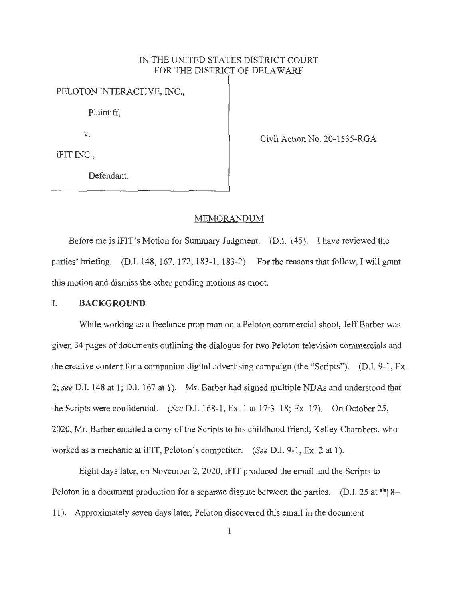# IN THE UNITED STATES DISTRICT COURT FOR THE DISTRICT OF DELAWARE

PELOTON INTERACTIVE, INC.,

Plaintiff,

V.

Civil Action No. 20-1535-RGA

iFIT INC.,

Defendant.

#### MEMORANDUM

Before me is iFIT's Motion for Summary Judgment. (D.I. 145). I have reviewed the parties' briefing. (D.I. 148, 167, 172, 183-1, 183-2). For the reasons that follow, I will grant this motion and dismiss the other pending motions as moot.

## I. **BACKGROUND**

While working as a freelance prop man on a Peloton commercial shoot, Jeff Barber was given 34 pages of documents outlining the dialogue for two Peloton television commercials and the creative content for a companion digital advertising campaign (the "Scripts"). (D.I. 9-1, Ex. 2; *see* D.I. 148 at 1; D.I. 167 at 1). Mr. Barber had signed multiple NDAs and understood that the Scripts were confidential. *(See* D.I. 168-1, Ex. 1 at 17:3-18; Ex. 17). On October 25, 2020, Mr. Barber emailed a copy of the Scripts to his childhood friend, Kelley Chambers, who worked as a mechanic at iFIT, Peloton's competitor. *(See* D.I. 9-1, Ex. 2 at 1).

Eight days later, on November 2, 2020, iFIT produced the email and the Scripts to Peloton in a document production for a separate dispute between the parties. (D.I. 25 at  $\P$  8-11). Approximately seven days later, Peloton discovered this email in the document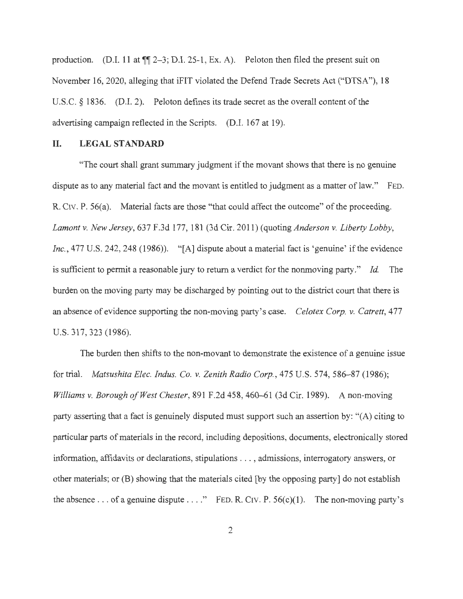production. (D.I. 11 at  $\P$  $[2-3;$  D.I. 25-1, Ex. A). Peloton then filed the present suit on November 16, 2020, alleging that iFIT violated the Defend Trade Secrets Act ("DTSA"), 18 U.S.C. § 1836. (D.I. 2). Peloton defines its trade secret as the overall content of the advertising campaign reflected in the Scripts. (D.I. 167 at 19).

# **II. LEGAL STANDARD**

"The court shall grant summary judgment if the movant shows that there is no genuine dispute as to any material fact and the movant is entitled to judgment as a matter of law." FED. R. CIV. P. 56(a). Material facts are those "that could affect the outcome" of the proceeding. *Lamont v. New Jersey,* 637 F.3d 177, 181 (3d Cir. 2011) (quoting *Anderson v. Liberty Lobby, Inc.*, 477 U.S. 242, 248 (1986)). "[A] dispute about a material fact is 'genuine' if the evidence is sufficient to permit a reasonable jury to return a verdict for the nonmoving party." *Id.* The burden on the moving party may be discharged by pointing out to the district court that there is an absence of evidence supporting the non-moving party's case. *Celotex Corp. v. Catrett,* 477 U.S. 317,323 (1986).

The burden then shifts to the non-movant to demonstrate the existence of a genuine issue for trial. *Matsushita Elec. Indus. Co. v. Zenith Radio Corp.,* 475 U.S. 574, 586-87 (1986); *Williams v. Borough of West Chester,* 891 F.2d 458, 460-61 (3d Cir. 1989). A non-moving party asserting that a fact is genuinely disputed must support such an assertion by: "(A) citing to particular parts of materials in the record, including depositions, documents, electronically stored information, affidavits or declarations, stipulations .. . , admissions, interrogatory answers, or other materials; or (B) showing that the materials cited [by the opposing party] do not establish the absence . . . of a genuine dispute . . . ." FED. R. CIV. P.  $56(c)(1)$ . The non-moving party's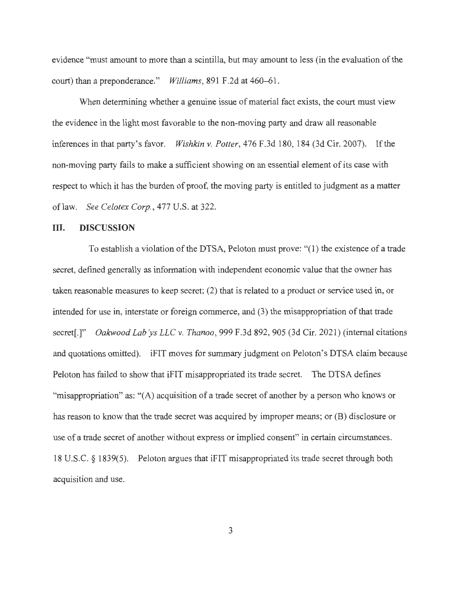evidence "must amount to more than a scintilla, but may amount to less (in the evaluation of the court) than a preponderance." *Williams,* 891 F.2d at 460-61.

When determining whether a genuine issue of material fact exists, the court must view the evidence in the light most favorable to the non-moving party and draw all reasonable inferences in that party's favor. *Wishkin v. Potter,* 476 F.3d 180, 184 (3d Cir. 2007). If the non-moving party fails to make a sufficient showing on an essential element of its case with respect to which it has the burden of proof, the moving party is entitled to judgment as a matter oflaw. *See Celotex Corp.,* 477 U.S. at 322.

## III. **DISCUSSION**

To establish a violation of the DTSA, Peloton must prove: "(l) the existence of a trade secret, defined generally as information with independent economic value that the owner has taken reasonable measures to keep secret; (2) that is related to a product or service used in, or intended for use in, interstate or foreign commerce, and (3) the misappropriation of that trade secret[.]" *Oakwood Lab'ys LLC v. Thanoo*, 999 F.3d 892, 905 (3d Cir. 2021) (internal citations and quotations omitted). iFIT moves for summary judgment on Peloton's DTSA claim because Peloton has failed to show that iFIT misappropriated its trade secret. The DTSA defines "misappropriation" as: "(A) acquisition of a trade secret of another by a person who knows or has reason to know that the trade secret was acquired by improper means; or (B) disclosure or use of a trade secret of another without express or implied consent" in certain circumstances. 18 U.S.C. § 1839(5). Peloton argues that iFIT misappropriated its trade secret through both acquisition and use.

3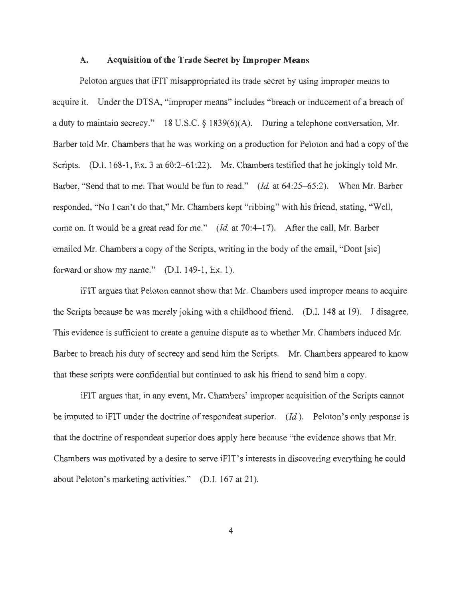#### **A. Acquisition of the Trade Secret by Improper Means**

Peloton argues that iFIT misappropriated its trade secret by using improper means to acquire it. Under the DTSA, "improper means" includes "breach or inducement of a breach of a duty to maintain secrecy." 18 U.S.C. § 1839(6)(A). During a telephone conversation, Mr. Barber told Mr. Chambers that he was working on a production for Peloton and had a copy of the Scripts. (D.I. 168-1, Ex. 3 at 60:2–61:22). Mr. Chambers testified that he jokingly told Mr. Barber, "Send that to me. That would be fun to read." *(Id.* at 64:25-65:2). When Mr. Barber responded, "No I can't do that," Mr. Chambers kept "ribbing" with his friend, stating, "Well, come on. It would be a great read for me." *(Id.* at 70:4-17). After the call, Mr. Barber emailed Mr. Chambers a copy of the Scripts, writing in the body of the email, "Dont [sic] forward or show my name." (D.I. 149-1, Ex. 1).

iFIT argues that Peloton cannot show that Mr. Chambers used improper means to acquire the Scripts because he was merely joking with a childhood friend. (D.I. 148 at 19). I disagree. This evidence is sufficient to create a genuine dispute as to whether Mr. Chambers induced Mr. Barber to breach his duty of secrecy and send him the Scripts. Mr. Chambers appeared to know that these scripts were confidential but continued to ask his friend to send him a copy.

iFIT argues that, in any event, Mr. Chambers' improper acquisition of the Scripts cannot be imputed to iFIT under the doctrine of respondeat superior. *(Id.)*. Peloton's only response is that the doctrine of respondeat superior does apply here because ''the evidence shows that Mr. Chambers was motivated by a desire to serve iFIT' s interests in discovering everything he could about Peloton's marketing activities." (D.I. 167 at 21).

4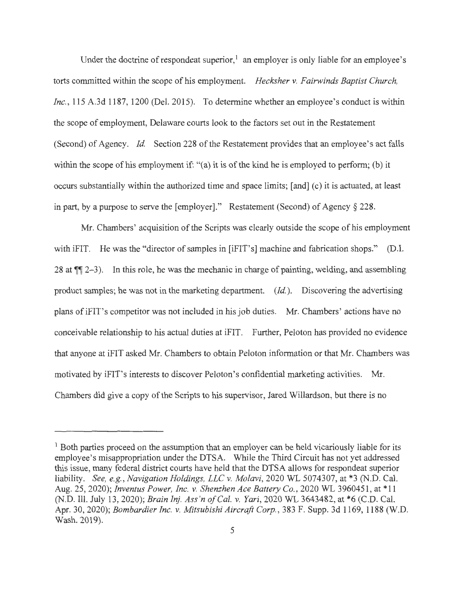Under the doctrine of respondeat superior,  $\frac{1}{2}$  an employer is only liable for an employee's torts committed within the scope of his employment. *Hecksher v. Fairwinds Baptist Church, Inc. ,* 115 A.3d 1187, 1200 (Del. 2015). To determine whether an employee's conduct is within the scope of employment, Delaware courts look to the factors set out in the Restatement (Second) of Agency. *Id.* Section 228 of the Restatement provides that an employee's act falls within the scope of his employment if: "(a) it is of the kind he is employed to perform; (b) it occurs substantially within the authorized time and space limits; [ and] ( c) it is actuated, at least in part, by a purpose to serve the [employer]." Restatement (Second) of Agency§ 228.

Mr. Chambers' acquisition of the Scripts was clearly outside the scope of his employment with iFIT. He was the "director of samples in [iFIT's] machine and fabrication shops." (D.I. 28 at  $\P$  2-3). In this role, he was the mechanic in charge of painting, welding, and assembling product samples; he was not in the marketing department. *(Id.).* Discovering the advertising plans of iFIT's competitor was not included in his job duties. Mr. Chambers' actions have no conceivable relationship to his actual duties at iFIT. Further, Peloton has provided no evidence that anyone at iFIT asked Mr. Chambers to obtain Peloton information or that Mr. Chambers was motivated by iFIT's interests to discover Peloton's confidential marketing activities. Mr. Chambers did give a copy of the Scripts to his supervisor, Jared Willardson, but there is no

 $<sup>1</sup>$  Both parties proceed on the assumption that an employer can be held vicariously liable for its</sup> employee's misappropriation under the DTSA. While the Third Circuit has not yet addressed this issue, many federal district courts have held that the DTSA allows for respondeat superior liability. *See, e.g., Navigation Holdings, LLC v. Molavi,* 2020 WL 5074307, at \*3 (N.D. Cal. Aug. 25, 2020); *Inventus Power, Inc. v. Shenzhen Ace Battery Co.,* 2020 WL 3960451, at\* 11 (N.D. Ill. July 13, 2020); *Brain Inj. Ass 'n of Cal. v. Yari,* 2020 WL 3643482, at \*6 (C.D. Cal. Apr. 30, 2020); *Bombardier Inc. v. Mitsubishi Aircraft Corp. ,* 383 F. Supp. 3d 1169, 1188 (W.D. Wash. 2019).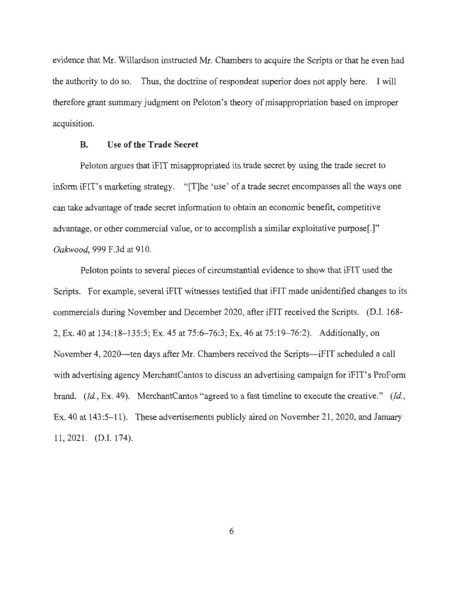evidence that Mr. Willardson instructed Mr. Chambers to acquire the Scripts or that he even had the authority to do so. Thus, the doctrine of respondeat superior does not apply here. I will therefore grant summary judgment on Peloton's theory of misappropriation based on improper acquisition.

## **B. Use of the Trade Secret**

Peloton argues that iFIT misappropriated its trade secret by using the trade secret to inform iFIT's marketing strategy. "[T]he 'use' of a trade secret encompasses all the ways one can take advantage of trade secret information to obtain an economic benefit, competitive advantage, or other commercial value, or to accomplish a similar exploitative purpose[.]" *Oakwood,* 999 F.3d at 910.

Peloton points to several pieces of circumstantial evidence to show that iFIT used the Scripts. For example, several iFIT witnesses testified that iFIT made unidentified changes to its commercials during November and December 2020, after iFIT received the Scripts. (D.I. 168- 2, Ex. 40 at 134:18-135:5; Ex. 45 at 75:6-76:3; Ex. 46 at 75:19-76:2). Additionally, on November 4, 2020—ten days after Mr. Chambers received the Scripts—iFIT scheduled a call with advertising agency MerchantCantos to discuss an advertising campaign for iFIT's ProForm brand. *(Id ,* Ex. 49). MerchantCantos "agreed to a fast timeline to execute the creative." *(Id ,*  Ex. 40 at 143:5-11). These advertisements publicly aired on November 21, 2020, and January 11 , 2021. (D.I.174).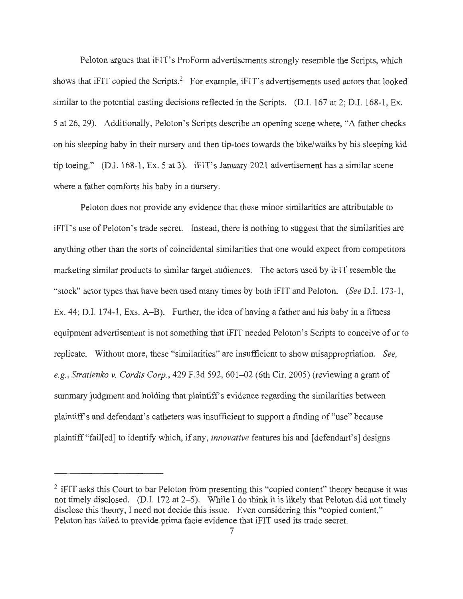Peloton argues that iFIT's ProForm advertisements strongly resemble the Scripts, which shows that  $i$ FIT copied the Scripts.<sup>2</sup> For example,  $i$ FIT's advertisements used actors that looked similar to the potential casting decisions reflected in the Scripts. (D.I. 167 at 2; D.I. 168-1, Ex. 5 at 26, 29). Additionally, Peloton's Scripts describe an opening scene where, "A father checks on his sleeping baby in their nursery and then tip-toes towards the bike/walks by his sleeping kid tip toeing." (D.I. 168-1, Ex. 5 at 3). iFIT's January 2021 advertisement has a similar scene where a father comforts his baby in a nursery.

Peloton does not provide any evidence that these minor similarities are attributable to iFIT's use of Peloton's trade secret. Instead, there is nothing to suggest that the similarities are anything other than the sorts of coincidental similarities that one would expect from competitors marketing similar products to similar target audiences. The actors used by iFIT resemble the "stock" actor types that have been used many times by both iFIT and Peloton. *(See* D.I. 173-1, Ex. 44; D.I. 174-1, Exs. A-B). Further, the idea of having a father and his baby in a fitness equipment advertisement is not something that iFIT needed Peloton's Scripts to conceive of or to replicate. Without more, these "similarities" are insufficient to show misappropriation. *See, e.g., Stratienko v. Cordis Corp.,* 429 F.3d 592, 601-02 (6th Cir. 2005) (reviewing a grant of summary judgment and holding that plaintiff's evidence regarding the similarities between plaintiff's and defendant's catheters was insufficient to support a finding of "use" because plaintiff "fail[ ed] to identify which, if any, *innovative* features his and [defendant's] designs

 $2$  iFIT asks this Court to bar Peloton from presenting this "copied content" theory because it was not timely disclosed. (D.I. 172 at 2-5). While I do think it is likely that Peloton did not timely disclose this theory, I need not decide this issue. Even considering this "copied content," Peloton has failed to provide prima facie evidence that iFIT used its trade secret.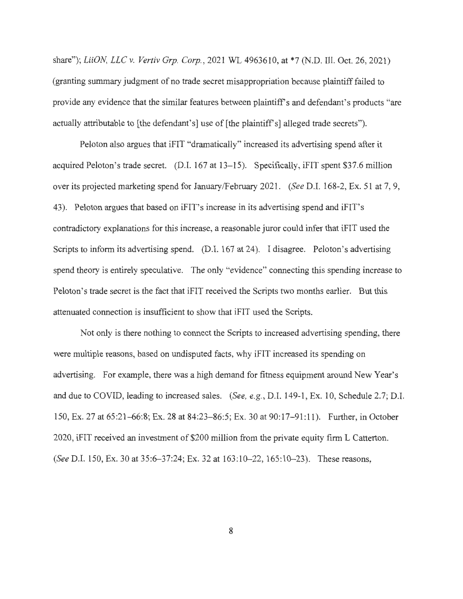share"); *LiiON, LLC v. Vertiv Grp. Corp.,* 2021 WL 4963610, at \*7 (N.D. Ill. Oct. 26, 2021) (granting summary judgment of no trade secret misappropriation because plaintiff failed to provide any evidence that the similar features between plaintiff's and defendant's products "are actually attributable to [the defendant's] use of [the plaintiff's] alleged trade secrets").

Peloton also argues that iFIT "dramatically" increased its advertising spend after it acquired Peloton's trade secret. (D.I. 167 at 13-15). Specifically, iFIT spent \$37.6 million over its projected marketing spend for January/February 2021. *(See* D.I. 168-2, Ex. 51 at 7, 9, 43). Peloton argues that based on iFIT's increase in its advertising spend and iFIT's contradictory explanations for this increase, a reasonable juror could infer that iFIT used the Scripts to inform its advertising spend. (D.I. 167 at 24). I disagree. Peloton's advertising spend theory is entirely speculative. The only "evidence" connecting this spending increase to Peloton's trade secret is the fact that iFIT received the Scripts two months earlier. But this attenuated connection is insufficient to show that iFIT used the Scripts.

Not only is there nothing to connect the Scripts to increased advertising spending, there were multiple reasons, based on undisputed facts, why iFIT increased its spending on advertising. For example, there was a high demand for fitness equipment around New Year's and due to COVID, leading to increased sales. *(See, e.g. ,* D.I. 149-1 , Ex. 10, Schedule 2.7; D.I. 150, Ex. 27 at 65:21-66:8; Ex. 28 at 84:23-86:5; Ex. 30 at 90:17-91:11). Further, in October 2020, iFIT received an investment of \$200 million from the private equity firm L Catterton. *(See* D.I. 150, Ex. 30 at 35:6-37:24; Ex. 32 at 163:10-22, 165:10-23). These reasons,

8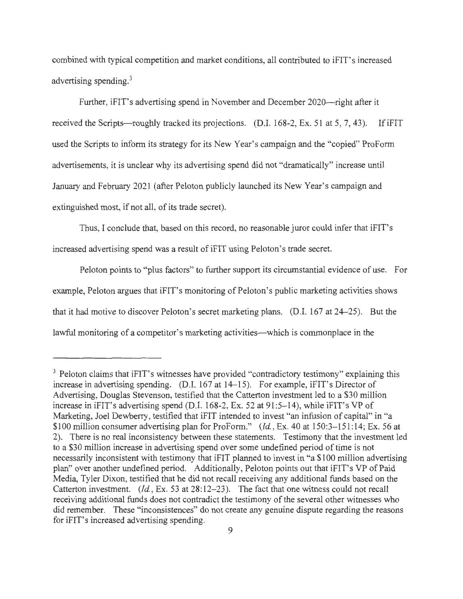combined with typical competition and market conditions, all contributed to iFIT's increased advertising spending.<sup>3</sup>

Further, iFIT's advertising spend in November and December 2020—right after it received the Scripts—roughly tracked its projections. (D.I. 168-2, Ex. 51 at 5, 7, 43). If iFIT used the Scripts to inform its strategy for its New Year's campaign and the "copied" ProForm advertisements, it is unclear why its advertising spend did not "dramatically" increase until January and February 2021 (after Peloton publicly launched its New Year's campaign and extinguished most, if not all, of its trade secret).

Thus, I conclude that, based on this record, no reasonable juror could infer that iFIT's increased advertising spend was a result of iFIT using Peloton's trade secret.

Peloton points to "plus factors" to further support its circumstantial evidence of use. For example, Peloton argues that iFIT's monitoring of Peloton's public marketing activities shows that it had motive to discover Peloton's secret marketing plans. (D.I. 167 at 24-25). But the lawful monitoring of a competitor's marketing activities-which is commonplace in the

<sup>&</sup>lt;sup>3</sup> Peloton claims that iFIT's witnesses have provided "contradictory testimony" explaining this increase in advertising spending. (D.I. 167 at 14-15). For example, iFIT's Director of Advertising, Douglas Stevenson, testified that the Catterton investment led to a \$30 million increase in iFIT's advertising spend (D.I. 168-2, Ex. 52 at 91:5-14), while iFIT's VP of Marketing, Joel Dewberry, testified that iFIT intended to invest "an infusion of capital" in "a \$100 million consumer advertising plan for ProForm." *(Id., Ex. 40 at 150:3–151:14; Ex. 56 at* 2). There is no real inconsistency between these statements. Testimony that the investment led to a \$30 million increase in advertising spend over some undefined period of time is not necessarily inconsistent with testimony that iFIT planned to invest in "a \$100 million advertising plan" over another undefined period. Additionally, Peloton points out that iFIT's VP of Paid Media, Tyler Dixon, testified that he did not recall receiving any additional funds based on the Catterton investment. *(Id., Ex. 53 at 28:12-23)*. The fact that one witness could not recall receiving additional funds does not contradict the testimony of the several other witnesses who did remember. These "inconsistences" do not create any genuine dispute regarding the reasons for iFIT's increased advertising spending.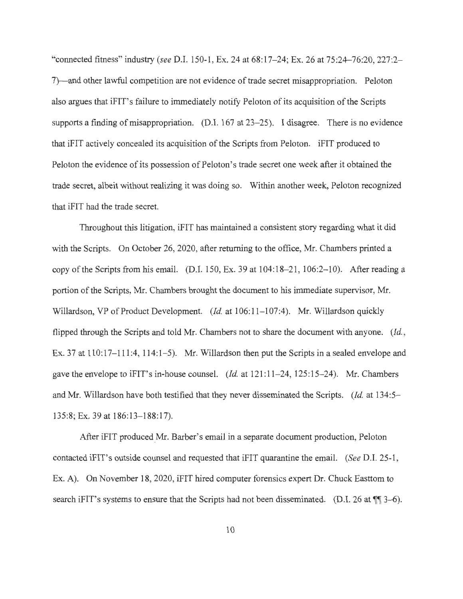"connected fitness" industry *(see* D.I. 150-1, Ex. 24 at 68:17-24; Ex. 26 at 75:24-76:20, 227:2- 7)—and other lawful competition are not evidence of trade secret misappropriation. Peloton also argues that iFIT's failure to immediately notify Peloton of its acquisition of the Scripts supports a finding of misappropriation. (D.I.  $167$  at  $23-25$ ). I disagree. There is no evidence that iFIT actively concealed its acquisition of the Scripts from Peloton. iFIT produced to Peloton the evidence of its possession of Peloton's trade secret one week after it obtained the trade secret, albeit without realizing it was doing so. Within another week, Peloton recognized that iFIT had the trade secret.

Throughout this litigation, iFIT has maintained a consistent story regarding what it did with the Scripts. On October 26, 2020, after returning to the office, Mr. Chambers printed a copy of the Scripts from his email. (D.I. 150, Ex. 39 at 104:18-21, 106:2-10). After reading a portion of the Scripts, Mr. Chambers brought the document to his immediate supervisor, Mr. Willardson, VP of Product Development. *(Id.* at 106:11-107:4). Mr. Willardson quickly flipped through the Scripts and told Mr. Chambers not to share the document with anyone. *(Id. ,*  Ex. 37 at  $110:17-111:4$ ,  $114:1-5$ ). Mr. Willardson then put the Scripts in a sealed envelope and gave the envelope to iFIT's in-house counsel. *(Id.* at 121 :11- 24, 125:15-24). Mr. Chambers and Mr. Willardson have both testified that they never disseminated the Scripts. *(Id.* at 134:5- 135:8; Ex. 39 at 186:13-188:17).

After iFIT produced Mr. Barber's email in a separate document production, Peloton contacted iFIT's outside counsel and requested that iFIT quarantine the email. *(See* D.I. 25-1 , Ex. A). On November 18, 2020, iFIT hired computer forensics expert Dr. Chuck Easttom to search iFIT's systems to ensure that the Scripts had not been disseminated. (D.I. 26 at  $\P$  3–6).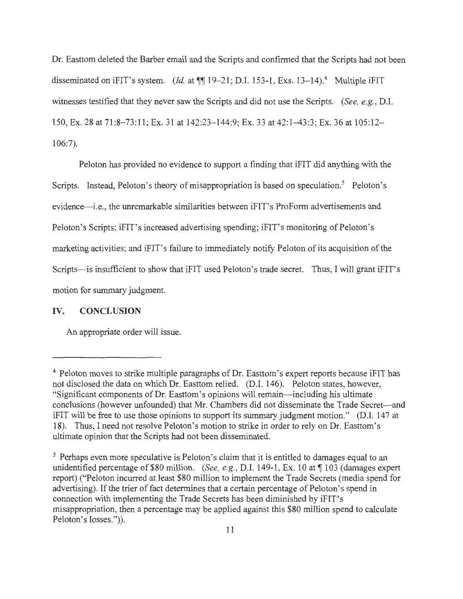Dr. Easttom deleted the Barber email and the Scripts and confirmed that the Scripts had not been disseminated on iFIT's system. *(Id.* at  $\P\P$  19-21; D.I. 153-1, Exs. 13-14).<sup>4</sup> Multiple iFIT witnesses testified that they never saw the Scripts and did not use the Scripts. *(See, e.g. ,* D.I. 150, Ex. 28 at 71:8-73:11; Ex. 31 at 142:23-144:9; Ex. 33 at 42:1-43:3; Ex. 36 at 105:12-106:7).

Peloton has provided no evidence to support a finding that iFIT did anything with the Scripts. Instead, Peloton's theory of misappropriation is based on speculation.<sup>5</sup> Peloton's evidence—i.e., the unremarkable similarities between iFIT's ProForm advertisements and Peloton's Scripts; iFIT's increased advertising spending; iFIT's monitoring of Peloton's marketing activities; and iFIT's failure to immediately notify Peloton of its acquisition of the Scripts—is insufficient to show that iFIT used Peloton's trade secret. Thus, I will grant iFIT's motion for summary judgment.

## **IV. CONCLUSION**

An appropriate order will issue.

<sup>&</sup>lt;sup>4</sup> Peloton moves to strike multiple paragraphs of Dr. Easttom's expert reports because iFIT has not disclosed the data on which Dr. Easttom relied. (D.I. 146). Peloton states, however, "Significant components of Dr. Easttom's opinions will remain-including his ultimate conclusions (however unfounded) that Mr. Chambers did not disseminate the Trade Secret-and iFIT will be free to use those opinions to support its summary judgment motion." (D.I. 147 at 18). Thus, I need not resolve Peloton's motion to strike in order to rely on Dr. Easttom's ultimate opinion that the Scripts had not been disseminated.

<sup>&</sup>lt;sup>5</sup> Perhaps even more speculative is Peloton's claim that it is entitled to damages equal to an unidentified percentage of \$80 million. *(See, e.g., D.I. 149-1, Ex. 10 at* 103 (damages expert report) ("Peloton incurred at least \$80 million to implement the Trade Secrets (media spend for advertising). If the trier of fact determines that a certain percentage of Peloton's spend in connection with implementing the Trade Secrets has been diminished by iFIT's misappropriation, then a percentage may be applied against this \$80 million spend to calculate Peloton's losses.")).